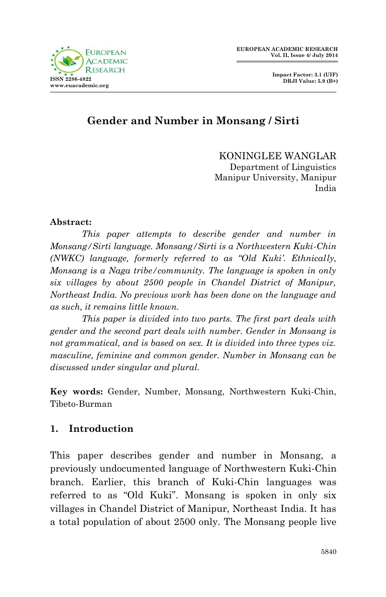

 **Impact Factor: 3.1 (UIF) DRJI Value: 5.9 (B+)**

# **Gender and Number in Monsang / Sirti**

KONINGLEE WANGLAR Department of Linguistics Manipur University, Manipur India

#### **Abstract:**

*This paper attempts to describe gender and number in Monsang/Sirti language. Monsang/Sirti is a Northwestern Kuki-Chin (NWKC) language, formerly referred to as "Old Kuki'. Ethnically, Monsang is a Naga tribe/community. The language is spoken in only six villages by about 2500 people in Chandel District of Manipur, Northeast India. No previous work has been done on the language and as such, it remains little known.* 

*This paper is divided into two parts. The first part deals with gender and the second part deals with number. Gender in Monsang is*  not grammatical, and is based on sex. It is divided into three types viz. *masculine, feminine and common gender. Number in Monsang can be discussed under singular and plural.*

**Key words:** Gender, Number, Monsang, Northwestern Kuki-Chin, Tibeto-Burman

## **1. Introduction**

This paper describes gender and number in Monsang, a previously undocumented language of Northwestern Kuki-Chin branch. Earlier, this branch of Kuki-Chin languages was referred to as "Old Kuki". Monsang is spoken in only six villages in Chandel District of Manipur, Northeast India. It has a total population of about 2500 only. The Monsang people live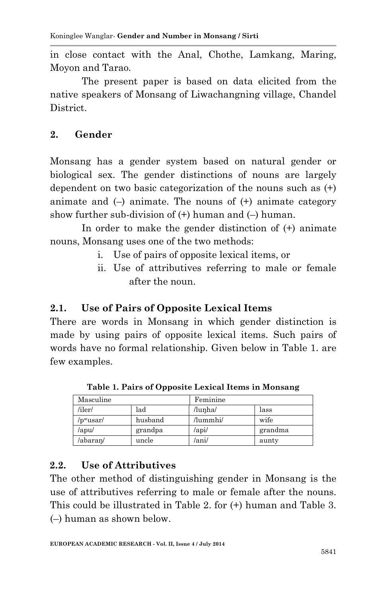in close contact with the Anal, Chothe, Lamkang, Maring, Moyon and Tarao.

The present paper is based on data elicited from the native speakers of Monsang of Liwachangning village, Chandel District.

## **2. Gender**

Monsang has a gender system based on natural gender or biological sex. The gender distinctions of nouns are largely dependent on two basic categorization of the nouns such as (+) animate and  $(-)$  animate. The nouns of  $(+)$  animate category show further sub-division of  $(+)$  human and  $(-)$  human.

In order to make the gender distinction of (+) animate nouns, Monsang uses one of the two methods:

- i. Use of pairs of opposite lexical items, or
- ii. Use of attributives referring to male or female after the noun.

## **2.1. Use of Pairs of Opposite Lexical Items**

There are words in Monsang in which gender distinction is made by using pairs of opposite lexical items. Such pairs of words have no formal relationship. Given below in Table 1. are few examples.

| Masculine      |         | Feminine            |         |
|----------------|---------|---------------------|---------|
| /iler/         | lad     | /lunha/             | lass    |
| $/$ pwusar $/$ | husband | /lummhi/            | wife    |
| $/$ apu $/$    | grandpa | $\alpha$ pi $\beta$ | grandma |
| /abaran/       | uncle   | /ani/               | aunty   |

**Table 1. Pairs of Opposite Lexical Items in Monsang**

## **2.2. Use of Attributives**

The other method of distinguishing gender in Monsang is the use of attributives referring to male or female after the nouns. This could be illustrated in Table 2. for (+) human and Table 3. (–) human as shown below.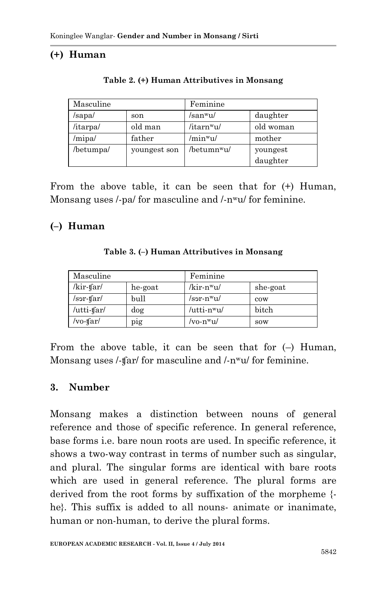## **(+) Human**

| Masculine |              | Feminine                |           |  |
|-----------|--------------|-------------------------|-----------|--|
| /sapa/    | son          | /san <sup>w</sup> u/    | daughter  |  |
| /itarpa/  | old man      | /itarn <sup>w</sup> u/  | old woman |  |
| /mipa/    | father       | /minwu/                 | mother    |  |
| /betumpa/ | youngest son | /betumn <sup>w</sup> u/ | youngest  |  |
|           |              |                         | daughter  |  |

**Table 2. (+) Human Attributives in Monsang**

From the above table, it can be seen that for (+) Human, Monsang uses /-pa/ for masculine and /-n<sup>w</sup>u/ for feminine.

### **(–) Human**

| Table 3. (-) Human Attributives in Monsang |  |  |  |  |  |  |
|--------------------------------------------|--|--|--|--|--|--|
|--------------------------------------------|--|--|--|--|--|--|

| Masculine                             |         | Feminine                |          |
|---------------------------------------|---------|-------------------------|----------|
| $\overline{k}$ ir-tfar $\overline{k}$ | he-goat | /kir-n <sup>w</sup> u/  | she-goat |
| $/s5$ -tar/                           | bull    | /sər-n <sup>w</sup> u/  | cow      |
| /utti-tfar/                           | dog     | /utti-n <sup>w</sup> u/ | bitch    |
| /vo-tfar/                             | pig     | /vo-n <sup>w</sup> u/   | sow      |

From the above table, it can be seen that for  $(-)$  Human, Monsang uses /-tfar/ for masculine and /-n<sup>w</sup>u/ for feminine.

#### **3. Number**

Monsang makes a distinction between nouns of general reference and those of specific reference. In general reference, base forms i.e. bare noun roots are used. In specific reference, it shows a two-way contrast in terms of number such as singular, and plural. The singular forms are identical with bare roots which are used in general reference. The plural forms are derived from the root forms by suffixation of the morpheme { he}. This suffix is added to all nouns- animate or inanimate, human or non-human, to derive the plural forms.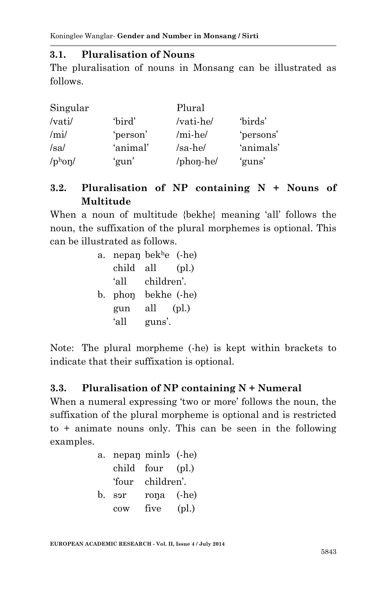#### **3.1. Pluralisation of Nouns**

The pluralisation of nouns in Monsang can be illustrated as follows.

| Singular                          |          | Plural    |           |  |
|-----------------------------------|----------|-----------|-----------|--|
| /vati/                            | 'bird'   | /vati-he/ | 'birds'   |  |
| /mi/                              | 'person' | /mi-he/   | 'persons' |  |
| /sa/                              | 'animal' | $/sa-he/$ | 'animals' |  |
| $\gamma$ <sub>phon</sub> $\gamma$ | 'gun'    | /phon-he/ | 'guns'    |  |

## **3.2. Pluralisation of NP containing N + Nouns of Multitude**

When a noun of multitude {bekhe} meaning 'all' follows the noun, the suffixation of the plural morphemes is optional. This can be illustrated as follows.

| a. | nepan bek <sup>h</sup> e $(-he)$ |             |               |
|----|----------------------------------|-------------|---------------|
|    | child                            | all         | $\left($ pl.) |
|    | ʻall                             | children'.  |               |
|    | b. phon                          | bekhe (-he) |               |
|    | gun                              | all         | $\left($ pl.) |
|    | 'all                             | guns'.      |               |

Note: The plural morpheme (-he) is kept within brackets to indicate that their suffixation is optional.

#### **3.3. Pluralisation of NP containing N + Numeral**

When a numeral expressing 'two or more' follows the noun, the suffixation of the plural morpheme is optional and is restricted to + animate nouns only. This can be seen in the following examples.

| a.          | nepan minlo (-he) |                  |               |
|-------------|-------------------|------------------|---------------|
|             |                   | child four (pl.) |               |
|             |                   | 'four children'. |               |
| $h_{\cdot}$ | sor               | rona (-he)       |               |
|             | cow               | five             | $\left($ pl.) |